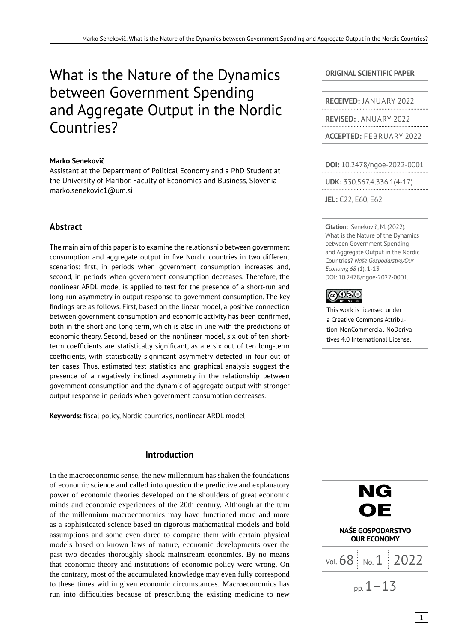# What is the Nature of the Dynamics between Government Spending and Aggregate Output in the Nordic Countries?

#### **Marko Senekovič**

Assistant at the Department of Political Economy and a PhD Student at the University of Maribor, Faculty of Economics and Business, Slovenia marko.senekovic1@um.si

### **Abstract**

The main aim of this paper is to examine the relationship between government consumption and aggregate output in five Nordic countries in two different scenarios: first, in periods when government consumption increases and, second, in periods when government consumption decreases. Therefore, the nonlinear ARDL model is applied to test for the presence of a short-run and long-run asymmetry in output response to government consumption. The key findings are as follows. First, based on the linear model, a positive connection between government consumption and economic activity has been confirmed, both in the short and long term, which is also in line with the predictions of economic theory. Second, based on the nonlinear model, six out of ten shortterm coefficients are statistically significant, as are six out of ten long-term coefficients, with statistically significant asymmetry detected in four out of ten cases. Thus, estimated test statistics and graphical analysis suggest the presence of a negatively inclined asymmetry in the relationship between government consumption and the dynamic of aggregate output with stronger output response in periods when government consumption decreases.

**Keywords:** fiscal policy, Nordic countries, nonlinear ARDL model

### **Introduction**

In the macroeconomic sense, the new millennium has shaken the foundations of economic science and called into question the predictive and explanatory power of economic theories developed on the shoulders of great economic minds and economic experiences of the 20th century. Although at the turn of the millennium macroeconomics may have functioned more and more as a sophisticated science based on rigorous mathematical models and bold assumptions and some even dared to compare them with certain physical models based on known laws of nature, economic developments over the past two decades thoroughly shook mainstream economics. By no means that economic theory and institutions of economic policy were wrong. On the contrary, most of the accumulated knowledge may even fully correspond to these times within given economic circumstances. Macroeconomics has run into difficulties because of prescribing the existing medicine to new

#### **ORIGINAL SCIENTIFIC PAPER**

**RECEIVED:** JANUARY 2022

**REVISED:** JANUARY 2022

**ACCEPTED:** FEBRUARY 2022

**DOI:** 10.2478/ngoe-2022-0001

**UDK:** 330.567.4:336.1(4-17)

**JEL:** C22, E60, E62

**Citation:** Senekovič, M. (2022). What is the Nature of the Dynamics between Government Spending and Aggregate Output in the Nordic Countries? *Naše Gospodarstvo/Our Economy, 68* (1), 1-13. DOI: 10.2478/ngoe-2022-0001.

### ெ⊛⊜

This work is licensed under a Creative Commons Attribution-NonCommercial-NoDerivatives 4.0 International License.

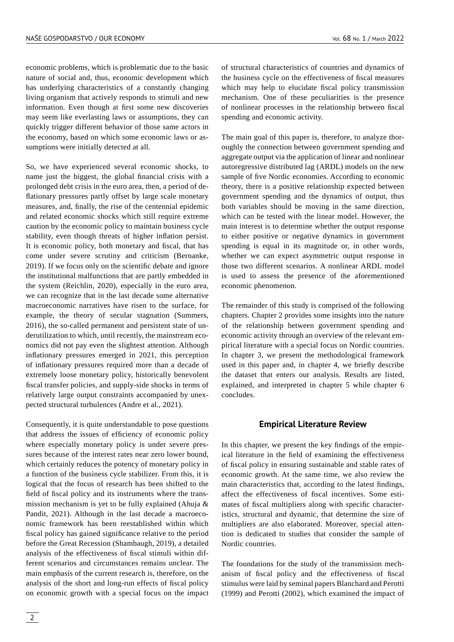economic problems, which is problematic due to the basic nature of social and, thus, economic development which has underlying characteristics of a constantly changing living organism that actively responds to stimuli and new information. Even though at first some new discoveries may seem like everlasting laws or assumptions, they can quickly trigger different behavior of those same actors in the economy, based on which some economic laws or assumptions were initially detected at all.

So, we have experienced several economic shocks, to name just the biggest, the global financial crisis with a prolonged debt crisis in the euro area, then, a period of deflationary pressures partly offset by large scale monetary measures, and, finally, the rise of the centennial epidemic and related economic shocks which still require extreme caution by the economic policy to maintain business cycle stability, even though threats of higher inflation persist. It is economic policy, both monetary and fiscal, that has come under severe scrutiny and criticism (Bernanke, 2019). If we focus only on the scientific debate and ignore the institutional malfunctions that are partly embedded in the system (Reichlin, 2020), especially in the euro area, we can recognize that in the last decade some alternative macroeconomic narratives have risen to the surface, for example, the theory of secular stagnation (Summers, 2016), the so-called permanent and persistent state of underutilization to which, until recently, the mainstream economics did not pay even the slightest attention. Although inflationary pressures emerged in 2021, this perception of inflationary pressures required more than a decade of extremely loose monetary policy, historically benevolent fiscal transfer policies, and supply-side shocks in terms of relatively large output constraints accompanied by unexpected structural turbulences (Andre et al., 2021).

Consequently, it is quite understandable to pose questions that address the issues of efficiency of economic policy where especially monetary policy is under severe pressures because of the interest rates near zero lower bound, which certainly reduces the potency of monetary policy in a function of the business cycle stabilizer. From this, it is logical that the focus of research has been shifted to the field of fiscal policy and its instruments where the transmission mechanism is yet to be fully explained (Ahuja & Pandit, 2021). Although in the last decade a macroeconomic framework has been reestablished within which fiscal policy has gained significance relative to the period before the Great Recession (Shambaugh, 2019), a detailed analysis of the effectiveness of fiscal stimuli within different scenarios and circumstances remains unclear. The main emphasis of the current research is, therefore, on the analysis of the short and long-run effects of fiscal policy on economic growth with a special focus on the impact

of structural characteristics of countries and dynamics of the business cycle on the effectiveness of fiscal measures which may help to elucidate fiscal policy transmission mechanism. One of these peculiarities is the presence of nonlinear processes in the relationship between fiscal spending and economic activity.

The main goal of this paper is, therefore, to analyze thoroughly the connection between government spending and aggregate output via the application of linear and nonlinear autoregressive distributed lag (ARDL) models on the new sample of five Nordic economies. According to economic theory, there is a positive relationship expected between government spending and the dynamics of output, thus both variables should be moving in the same direction, which can be tested with the linear model. However, the main interest is to determine whether the output response to either positive or negative dynamics in government spending is equal in its magnitude or, in other words, whether we can expect asymmetric output response in those two different scenarios. A nonlinear ARDL model is used to assess the presence of the aforementioned economic phenomenon.

The remainder of this study is comprised of the following chapters. Chapter 2 provides some insights into the nature of the relationship between government spending and economic activity through an overview of the relevant empirical literature with a special focus on Nordic countries. In chapter 3, we present the methodological framework used in this paper and, in chapter 4, we briefly describe the dataset that enters our analysis. Results are listed, explained, and interpreted in chapter 5 while chapter 6 concludes.

### **Empirical Literature Review**

In this chapter, we present the key findings of the empirical literature in the field of examining the effectiveness of fiscal policy in ensuring sustainable and stable rates of economic growth. At the same time, we also review the main characteristics that, according to the latest findings, affect the effectiveness of fiscal incentives. Some estimates of fiscal multipliers along with specific characteristics, structural and dynamic, that determine the size of multipliers are also elaborated. Moreover, special attention is dedicated to studies that consider the sample of Nordic countries.

The foundations for the study of the transmission mechanism of fiscal policy and the effectiveness of fiscal stimulus were laid by seminal papers Blanchard and Perotti (1999) and Perotti (2002), which examined the impact of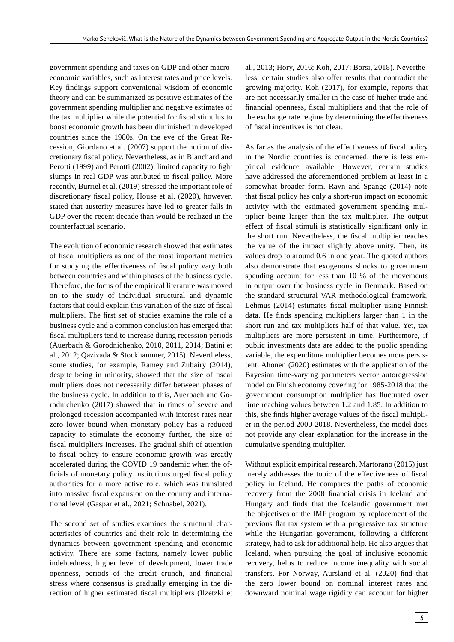government spending and taxes on GDP and other macroeconomic variables, such as interest rates and price levels. Key findings support conventional wisdom of economic theory and can be summarized as positive estimates of the government spending multiplier and negative estimates of the tax multiplier while the potential for fiscal stimulus to boost economic growth has been diminished in developed countries since the 1980s. On the eve of the Great Recession, Giordano et al. (2007) support the notion of discretionary fiscal policy. Nevertheless, as in Blanchard and Perotti (1999) and Perotti (2002), limited capacity to fight slumps in real GDP was attributed to fiscal policy. More recently, Burriel et al. (2019) stressed the important role of discretionary fiscal policy, House et al. (2020), however, stated that austerity measures have led to greater falls in GDP over the recent decade than would be realized in the counterfactual scenario.

The evolution of economic research showed that estimates of fiscal multipliers as one of the most important metrics for studying the effectiveness of fiscal policy vary both between countries and within phases of the business cycle. Therefore, the focus of the empirical literature was moved on to the study of individual structural and dynamic factors that could explain this variation of the size of fiscal multipliers. The first set of studies examine the role of a business cycle and a common conclusion has emerged that fiscal multipliers tend to increase during recession periods (Auerbach & Gorodnichenko, 2010, 2011, 2014; Batini et al., 2012; Qazizada & Stockhammer, 2015). Nevertheless, some studies, for example, Ramey and Zubairy (2014), despite being in minority, showed that the size of fiscal multipliers does not necessarily differ between phases of the business cycle. In addition to this, Auerbach and Gorodnichenko (2017) showed that in times of severe and prolonged recession accompanied with interest rates near zero lower bound when monetary policy has a reduced capacity to stimulate the economy further, the size of fiscal multipliers increases. The gradual shift of attention to fiscal policy to ensure economic growth was greatly accelerated during the COVID 19 pandemic when the officials of monetary policy institutions urged fiscal policy authorities for a more active role, which was translated into massive fiscal expansion on the country and international level (Gaspar et al., 2021; Schnabel, 2021).

The second set of studies examines the structural characteristics of countries and their role in determining the dynamics between government spending and economic activity. There are some factors, namely lower public indebtedness, higher level of development, lower trade openness, periods of the credit crunch, and financial stress where consensus is gradually emerging in the direction of higher estimated fiscal multipliers (Ilzetzki et al., 2013; Hory, 2016; Koh, 2017; Borsi, 2018). Nevertheless, certain studies also offer results that contradict the growing majority. Koh (2017), for example, reports that are not necessarily smaller in the case of higher trade and financial openness, fiscal multipliers and that the role of the exchange rate regime by determining the effectiveness of fiscal incentives is not clear.

As far as the analysis of the effectiveness of fiscal policy in the Nordic countries is concerned, there is less empirical evidence available. However, certain studies have addressed the aforementioned problem at least in a somewhat broader form. Ravn and Spange (2014) note that fiscal policy has only a short-run impact on economic activity with the estimated government spending multiplier being larger than the tax multiplier. The output effect of fiscal stimuli is statistically significant only in the short run. Nevertheless, the fiscal multiplier reaches the value of the impact slightly above unity. Then, its values drop to around 0.6 in one year. The quoted authors also demonstrate that exogenous shocks to government spending account for less than 10 % of the movements in output over the business cycle in Denmark. Based on the standard structural VAR methodological framework, Lehmus (2014) estimates fiscal multiplier using Finnish data. He finds spending multipliers larger than 1 in the short run and tax multipliers half of that value. Yet, tax multipliers are more persistent in time. Furthermore, if public investments data are added to the public spending variable, the expenditure multiplier becomes more persistent. Ahonen (2020) estimates with the application of the Bayesian time-varying parameters vector autoregression model on Finish economy covering for 1985-2018 that the government consumption multiplier has fluctuated over time reaching values between 1.2 and 1.85. In addition to this, she finds higher average values of the fiscal multiplier in the period 2000-2018. Nevertheless, the model does not provide any clear explanation for the increase in the cumulative spending multiplier.

Without explicit empirical research, Martorano (2015) just merely addresses the topic of the effectiveness of fiscal policy in Iceland. He compares the paths of economic recovery from the 2008 financial crisis in Iceland and Hungary and finds that the Icelandic government met the objectives of the IMF program by replacement of the previous flat tax system with a progressive tax structure while the Hungarian government, following a different strategy, had to ask for additional help. He also argues that Iceland, when pursuing the goal of inclusive economic recovery, helps to reduce income inequality with social transfers. For Norway, Aursland et al. (2020) find that the zero lower bound on nominal interest rates and downward nominal wage rigidity can account for higher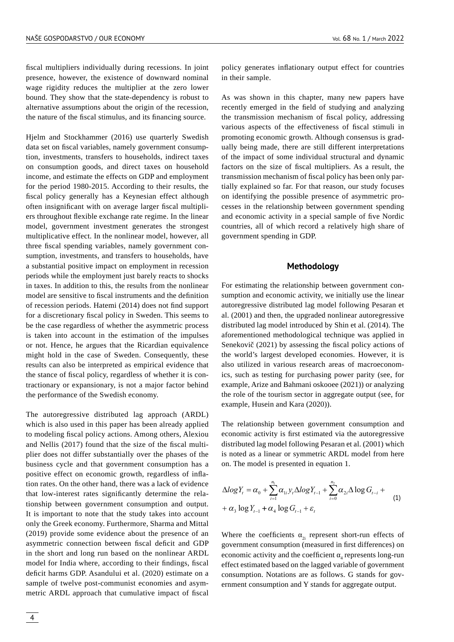fiscal multipliers individually during recessions. In joint presence, however, the existence of downward nominal wage rigidity reduces the multiplier at the zero lower bound. They show that the state-dependency is robust to alternative assumptions about the origin of the recession, the nature of the fiscal stimulus, and its financing source.

Hjelm and Stockhammer (2016) use quarterly Swedish data set on fiscal variables, namely government consumption, investments, transfers to households, indirect taxes on consumption goods, and direct taxes on household income, and estimate the effects on GDP and employment for the period 1980-2015. According to their results, the fiscal policy generally has a Keynesian effect although often insignificant with on average larger fiscal multipliers throughout flexible exchange rate regime. In the linear model, government investment generates the strongest multiplicative effect. In the nonlinear model, however, all three fiscal spending variables, namely government consumption, investments, and transfers to households, have a substantial positive impact on employment in recession periods while the employment just barely reacts to shocks in taxes. In addition to this, the results from the nonlinear model are sensitive to fiscal instruments and the definition of recession periods. Hatemi (2014) does not find support for a discretionary fiscal policy in Sweden. This seems to be the case regardless of whether the asymmetric process is taken into account in the estimation of the impulses or not. Hence, he argues that the Ricardian equivalence might hold in the case of Sweden. Consequently, these results can also be interpreted as empirical evidence that the stance of fiscal policy, regardless of whether it is contractionary or expansionary, is not a major factor behind the performance of the Swedish economy.

The autoregressive distributed lag approach (ARDL) which is also used in this paper has been already applied to modeling fiscal policy actions. Among others, Alexiou and Nellis (2017) found that the size of the fiscal multiplier does not differ substantially over the phases of the business cycle and that government consumption has a positive effect on economic growth, regardless of inflation rates. On the other hand, there was a lack of evidence that low-interest rates significantly determine the relationship between government consumption and output. It is important to note that the study takes into account only the Greek economy. Furthermore, Sharma and Mittal (2019) provide some evidence about the presence of an asymmetric connection between fiscal deficit and GDP in the short and long run based on the nonlinear ARDL model for India where, according to their findings, fiscal deficit harms GDP. Asandului et al. (2020) estimate on a sample of twelve post-communist economies and asymmetric ARDL approach that cumulative impact of fiscal

policy generates inflationary output effect for countries in their sample.

As was shown in this chapter, many new papers have recently emerged in the field of studying and analyzing the transmission mechanism of fiscal policy, addressing various aspects of the effectiveness of fiscal stimuli in promoting economic growth. Although consensus is gradually being made, there are still different interpretations of the impact of some individual structural and dynamic factors on the size of fiscal multipliers. As a result, the transmission mechanism of fiscal policy has been only partially explained so far. For that reason, our study focuses on identifying the possible presence of asymmetric processes in the relationship between government spending and economic activity in a special sample of five Nordic countries, all of which record a relatively high share of government spending in GDP.

#### **Methodology**

For estimating the relationship between government consumption and economic activity, we initially use the linear autoregressive distributed lag model following Pesaran et al. (2001) and then, the upgraded nonlinear autoregressive distributed lag model introduced by Shin et al. (2014). The aforementioned methodological technique was applied in Senekovič (2021) by assessing the fiscal policy actions of the world's largest developed economies. However, it is also utilized in various research areas of macroeconomics, such as testing for purchasing power parity (see, for example, Arize and Bahmani oskooee (2021)) or analyzing the role of the tourism sector in aggregate output (see, for example, Husein and Kara (2020)).

The relationship between government consumption and economic activity is first estimated via the autoregressive distributed lag model following Pesaran et al. (2001) which is noted as a linear or symmetric ARDL model from here on. The model is presented in equation 1.

$$
\Delta log Y_{t} = \alpha_{0} + \sum_{i=1}^{n_{1}} \alpha_{1i} y_{t} \Delta log Y_{t-1} + \sum_{i=0}^{n_{2}} \alpha_{2i} \Delta log G_{t-i} + \alpha_{3} log Y_{t-1} + \alpha_{4} log G_{t-1} + \varepsilon_{t}
$$
\n(1)

Where the coefficients  $\alpha_{2i}$  represent short-run effects of government consumption (measured in first differences) on economic activity and the coefficient  $\alpha_4$  represents long-run effect estimated based on the lagged variable of government consumption. Notations are as follows. G stands for government consumption and Y stands for aggregate output.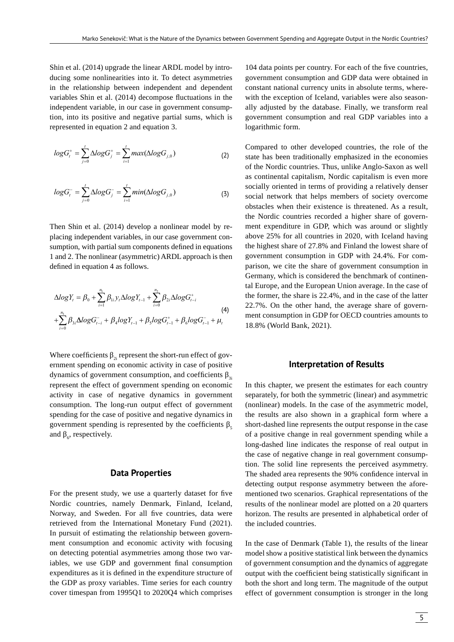Shin et al. (2014) upgrade the linear ARDL model by introducing some nonlinearities into it. To detect asymmetries in the relationship between independent and dependent variables Shin et al. (2014) decompose fluctuations in the independent variable, in our case in government consumption, into its positive and negative partial sums, which is represented in equation 2 and equation 3.

$$
log G_{t}^{+} = \sum_{j=0}^{t} \Delta log G_{j}^{+} = \sum_{i=1}^{t} max(\Delta log G_{j,0})
$$
\n(2)

$$
logG_i^- = \sum_{j=0}^t \Delta logG_j^- = \sum_{i=1}^t min(\Delta logG_{j,0})
$$
\n(3)

Then Shin et al. (2014) develop a nonlinear model by replacing independent variables, in our case government consumption, with partial sum components defined in equations 1 and 2. The nonlinear (asymmetric) ARDL approach is then defined in equation 4 as follows.

$$
\Delta log Y_{t} = \beta_{0} + \sum_{i=1}^{n_{1}} \beta_{1i} y_{t} \Delta log Y_{t-1} + \sum_{i=0}^{n_{2}} \beta_{2i} \Delta log G_{t-i}^{+}
$$
\n
$$
+ \sum_{i=0}^{n_{3}} \beta_{3i} \Delta log G_{t-i}^{-} + \beta_{4} log Y_{t-1} + \beta_{5} log G_{t-1}^{+} + \beta_{6} log G_{t-1}^{-} + \mu_{t}
$$
\n(4)

Where coefficients  $\beta_{2i}$  represent the short-run effect of government spending on economic activity in case of positive dynamics of government consumption, and coefficients  $β_3$ represent the effect of government spending on economic activity in case of negative dynamics in government consumption. The long-run output effect of government spending for the case of positive and negative dynamics in government spending is represented by the coefficients  $\beta_5$ and  $β<sub>6</sub>$ , respectively.

#### **Data Properties**

For the present study, we use a quarterly dataset for five Nordic countries, namely Denmark, Finland, Iceland, Norway, and Sweden. For all five countries, data were retrieved from the International Monetary Fund (2021). In pursuit of estimating the relationship between government consumption and economic activity with focusing on detecting potential asymmetries among those two variables, we use GDP and government final consumption expenditures as it is defined in the expenditure structure of the GDP as proxy variables. Time series for each country cover timespan from 1995Q1 to 2020Q4 which comprises 104 data points per country. For each of the five countries, government consumption and GDP data were obtained in constant national currency units in absolute terms, wherewith the exception of Iceland, variables were also seasonally adjusted by the database. Finally, we transform real government consumption and real GDP variables into a logarithmic form.

Compared to other developed countries, the role of the state has been traditionally emphasized in the economies of the Nordic countries. Thus, unlike Anglo-Saxon as well as continental capitalism, Nordic capitalism is even more socially oriented in terms of providing a relatively denser social network that helps members of society overcome obstacles when their existence is threatened. As a result, the Nordic countries recorded a higher share of government expenditure in GDP, which was around or slightly above 25% for all countries in 2020, with Iceland having the highest share of 27.8% and Finland the lowest share of government consumption in GDP with 24.4%. For comparison, we cite the share of government consumption in Germany, which is considered the benchmark of continental Europe, and the European Union average. In the case of the former, the share is 22.4%, and in the case of the latter 22.7%. On the other hand, the average share of government consumption in GDP for OECD countries amounts to 18.8% (World Bank, 2021).

#### **Interpretation of Results**

In this chapter, we present the estimates for each country separately, for both the symmetric (linear) and asymmetric (nonlinear) models. In the case of the asymmetric model, the results are also shown in a graphical form where a short-dashed line represents the output response in the case of a positive change in real government spending while a long-dashed line indicates the response of real output in the case of negative change in real government consumption. The solid line represents the perceived asymmetry. The shaded area represents the 90% confidence interval in detecting output response asymmetry between the aforementioned two scenarios. Graphical representations of the results of the nonlinear model are plotted on a 20 quarters horizon. The results are presented in alphabetical order of the included countries.

In the case of Denmark (Table 1), the results of the linear model show a positive statistical link between the dynamics of government consumption and the dynamics of aggregate output with the coefficient being statistically significant in both the short and long term. The magnitude of the output effect of government consumption is stronger in the long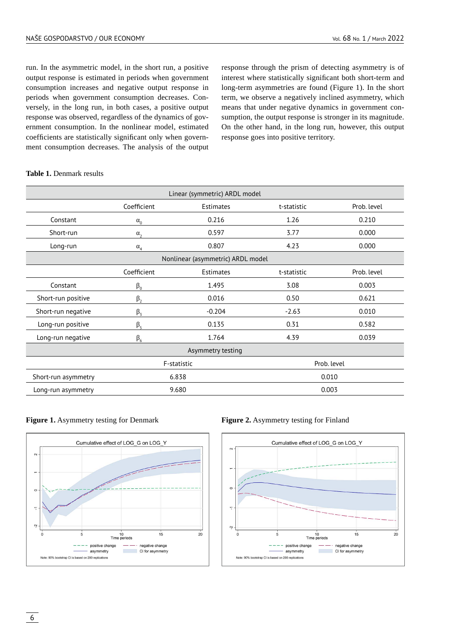run. In the asymmetric model, in the short run, a positive output response is estimated in periods when government consumption increases and negative output response in periods when government consumption decreases. Conversely, in the long run, in both cases, a positive output response was observed, regardless of the dynamics of government consumption. In the nonlinear model, estimated coefficients are statistically significant only when government consumption decreases. The analysis of the output response through the prism of detecting asymmetry is of interest where statistically significant both short-term and long-term asymmetries are found (Figure 1). In the short term, we observe a negatively inclined asymmetry, which means that under negative dynamics in government consumption, the output response is stronger in its magnitude. On the other hand, in the long run, however, this output response goes into positive territory.

#### **Table 1.** Denmark results

| Linear (symmetric) ARDL model     |                       |           |             |             |  |
|-----------------------------------|-----------------------|-----------|-------------|-------------|--|
|                                   | Coefficient           | Estimates | t-statistic | Prob. level |  |
| Constant                          | $\alpha_0$            | 0.216     | 1.26        | 0.210       |  |
| Short-run                         | $\alpha$ <sub>2</sub> | 0.597     | 3.77        | 0.000       |  |
| Long-run                          | $\alpha$ <sub>4</sub> | 0.807     | 4.23        | 0.000       |  |
| Nonlinear (asymmetric) ARDL model |                       |           |             |             |  |
|                                   | Coefficient           | Estimates | t-statistic | Prob. level |  |
| Constant                          | $\beta_0$             | 1.495     | 3.08        | 0.003       |  |
| Short-run positive                | $\beta_2$             | 0.016     | 0.50        | 0.621       |  |
| Short-run negative                | $\beta_3$             | $-0.204$  | $-2.63$     | 0.010       |  |
| Long-run positive                 | $\beta_{5}$           | 0.135     | 0.31        | 0.582       |  |
| Long-run negative                 | $\beta_6$             | 1.764     | 4.39        | 0.039       |  |
| Asymmetry testing                 |                       |           |             |             |  |
|                                   | F-statistic           |           | Prob. level |             |  |
| Short-run asymmetry               | 6.838                 |           | 0.010       |             |  |
| Long-run asymmetry                | 9.680                 |           | 0.003       |             |  |

#### **Figure 1.** Asymmetry testing for Denmark **Figure 2.** Asymmetry testing for Finland



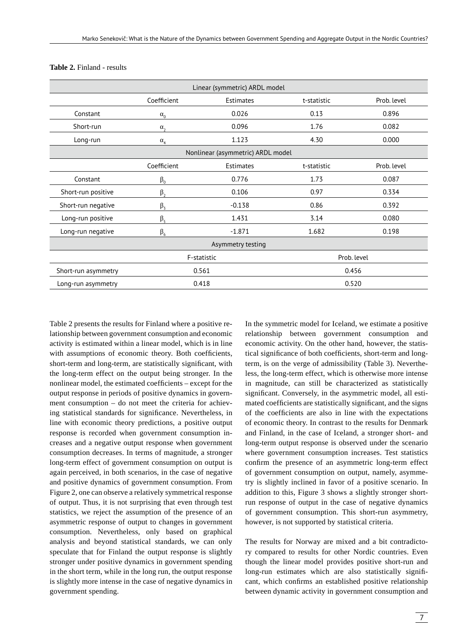| Linear (symmetric) ARDL model |                                   |                   |             |             |  |  |
|-------------------------------|-----------------------------------|-------------------|-------------|-------------|--|--|
|                               | Coefficient                       | Estimates         | t-statistic | Prob. level |  |  |
| Constant                      | $\alpha_0$                        | 0.026             | 0.13        | 0.896       |  |  |
| Short-run                     | $\alpha$ ,                        | 0.096             | 1.76        | 0.082       |  |  |
| Long-run                      | $\alpha$ <sub>4</sub>             | 1.123             | 4.30        | 0.000       |  |  |
|                               | Nonlinear (asymmetric) ARDL model |                   |             |             |  |  |
|                               | Coefficient                       | Estimates         | t-statistic | Prob. level |  |  |
| Constant                      | $\beta_0$                         | 0.776             | 1.73        | 0.087       |  |  |
| Short-run positive            | $\beta$                           | 0.106             | 0.97        | 0.334       |  |  |
| Short-run negative            | $\beta_3$                         | $-0.138$          | 0.86        | 0.392       |  |  |
| Long-run positive             | $\beta_{5}$                       | 1.431             | 3.14        | 0.080       |  |  |
| Long-run negative             | $\beta_6$                         | $-1.871$          | 1.682       | 0.198       |  |  |
|                               |                                   | Asymmetry testing |             |             |  |  |
|                               | F-statistic                       |                   | Prob. level |             |  |  |
| Short-run asymmetry           | 0.561                             |                   | 0.456       |             |  |  |
| Long-run asymmetry            | 0.418                             |                   | 0.520       |             |  |  |

#### **Table 2.** Finland - results

Table 2 presents the results for Finland where a positive relationship between government consumption and economic activity is estimated within a linear model, which is in line with assumptions of economic theory. Both coefficients, short-term and long-term, are statistically significant, with the long-term effect on the output being stronger. In the nonlinear model, the estimated coefficients – except for the output response in periods of positive dynamics in government consumption – do not meet the criteria for achieving statistical standards for significance. Nevertheless, in line with economic theory predictions, a positive output response is recorded when government consumption increases and a negative output response when government consumption decreases. In terms of magnitude, a stronger long-term effect of government consumption on output is again perceived, in both scenarios, in the case of negative and positive dynamics of government consumption. From Figure 2, one can observe a relatively symmetrical response of output. Thus, it is not surprising that even through test statistics, we reject the assumption of the presence of an asymmetric response of output to changes in government consumption. Nevertheless, only based on graphical analysis and beyond statistical standards, we can only speculate that for Finland the output response is slightly stronger under positive dynamics in government spending in the short term, while in the long run, the output response is slightly more intense in the case of negative dynamics in government spending.

In the symmetric model for Iceland, we estimate a positive relationship between government consumption and economic activity. On the other hand, however, the statistical significance of both coefficients, short-term and longterm, is on the verge of admissibility (Table 3). Nevertheless, the long-term effect, which is otherwise more intense in magnitude, can still be characterized as statistically significant. Conversely, in the asymmetric model, all estimated coefficients are statistically significant, and the signs of the coefficients are also in line with the expectations of economic theory. In contrast to the results for Denmark and Finland, in the case of Iceland, a stronger short- and long-term output response is observed under the scenario where government consumption increases. Test statistics confirm the presence of an asymmetric long-term effect of government consumption on output, namely, asymmetry is slightly inclined in favor of a positive scenario. In addition to this, Figure 3 shows a slightly stronger shortrun response of output in the case of negative dynamics of government consumption. This short-run asymmetry, however, is not supported by statistical criteria.

The results for Norway are mixed and a bit contradictory compared to results for other Nordic countries. Even though the linear model provides positive short-run and long-run estimates which are also statistically significant, which confirms an established positive relationship between dynamic activity in government consumption and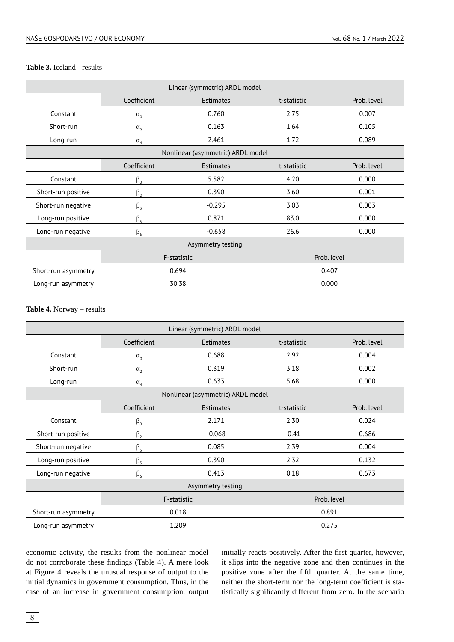| Linear (symmetric) ARDL model     |                       |           |             |             |  |
|-----------------------------------|-----------------------|-----------|-------------|-------------|--|
|                                   | Coefficient           | Estimates | t-statistic | Prob. level |  |
| Constant                          | $\alpha_0$            | 0.760     | 2.75        | 0.007       |  |
| Short-run                         | $\alpha$ <sub>2</sub> | 0.163     | 1.64        | 0.105       |  |
| Long-run                          | $\alpha$ <sub>4</sub> | 2.461     | 1.72        | 0.089       |  |
| Nonlinear (asymmetric) ARDL model |                       |           |             |             |  |
|                                   | Coefficient           | Estimates | t-statistic | Prob. level |  |
| Constant                          | $\beta_0$             | 5.582     | 4.20        | 0.000       |  |
| Short-run positive                | $\beta_2$             | 0.390     | 3.60        | 0.001       |  |
| Short-run negative                | $\beta_3$             | $-0.295$  | 3.03        | 0.003       |  |
| Long-run positive                 | $\beta_{5}$           | 0.871     | 83.0        | 0.000       |  |
| Long-run negative                 | $\beta_6$             | $-0.658$  | 26.6        | 0.000       |  |
| Asymmetry testing                 |                       |           |             |             |  |
|                                   | F-statistic           |           | Prob. level |             |  |
| Short-run asymmetry               | 0.694                 |           | 0.407       |             |  |
| Long-run asymmetry                | 30.38                 |           | 0.000       |             |  |

#### **Table 4.** Norway – results

| Linear (symmetric) ARDL model     |                                |           |             |             |  |
|-----------------------------------|--------------------------------|-----------|-------------|-------------|--|
|                                   | Coefficient                    | Estimates | t-statistic | Prob. level |  |
| Constant                          | $\alpha_0$                     | 0.688     | 2.92        | 0.004       |  |
| Short-run                         | $\alpha$ <sub>2</sub>          | 0.319     | 3.18        | 0.002       |  |
| Long-run                          | $\alpha$ <sub>4</sub>          | 0.633     | 5.68        | 0.000       |  |
| Nonlinear (asymmetric) ARDL model |                                |           |             |             |  |
|                                   | Coefficient                    | Estimates | t-statistic | Prob. level |  |
| Constant                          | $\beta_{\scriptscriptstyle 0}$ | 2.171     | 2.30        | 0.024       |  |
| Short-run positive                | $\beta_{2}$                    | $-0.068$  | $-0.41$     | 0.686       |  |
| Short-run negative                | $\beta_3$                      | 0.085     | 2.39        | 0.004       |  |
| Long-run positive                 | $\beta_{5}$                    | 0.390     | 2.32        | 0.132       |  |
| Long-run negative                 | $\beta_6$                      | 0.413     | 0.18        | 0.673       |  |
| Asymmetry testing                 |                                |           |             |             |  |
|                                   | F-statistic                    |           | Prob. level |             |  |
| Short-run asymmetry               | 0.018                          |           | 0.891       |             |  |
| Long-run asymmetry                | 1.209                          |           | 0.275       |             |  |

economic activity, the results from the nonlinear model do not corroborate these findings (Table 4). A mere look at Figure 4 reveals the unusual response of output to the initial dynamics in government consumption. Thus, in the case of an increase in government consumption, output initially reacts positively. After the first quarter, however, it slips into the negative zone and then continues in the positive zone after the fifth quarter. At the same time, neither the short-term nor the long-term coefficient is statistically significantly different from zero. In the scenario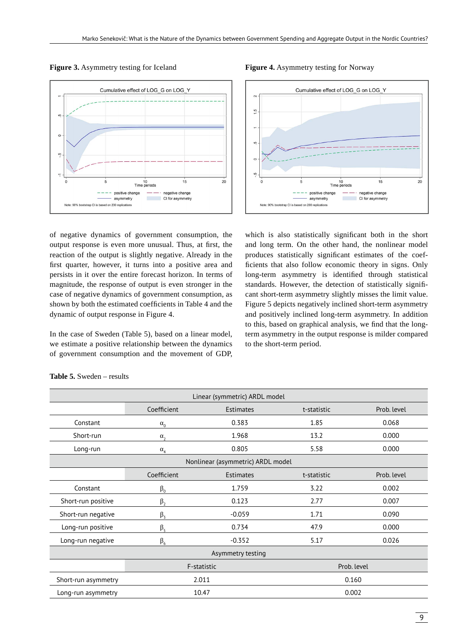**Figure 3.** Asymmetry testing for Iceland **Figure 4.** Asymmetry testing for Norway



Cumulative effect of LOG G on LOG Y  $\frac{6}{2}$ ഗ  $\overline{a}$ u. <sup>1</sup>0<br>Time periods  $15$  $20$  $\overline{5}$ positive change negative change CI for asymmetry asymmetry **otstrap CL is based on 200 replications** 

of negative dynamics of government consumption, the output response is even more unusual. Thus, at first, the reaction of the output is slightly negative. Already in the first quarter, however, it turns into a positive area and persists in it over the entire forecast horizon. In terms of magnitude, the response of output is even stronger in the case of negative dynamics of government consumption, as shown by both the estimated coefficients in Table 4 and the dynamic of output response in Figure 4.

In the case of Sweden (Table 5), based on a linear model, we estimate a positive relationship between the dynamics of government consumption and the movement of GDP, which is also statistically significant both in the short and long term. On the other hand, the nonlinear model produces statistically significant estimates of the coefficients that also follow economic theory in signs. Only long-term asymmetry is identified through statistical standards. However, the detection of statistically significant short-term asymmetry slightly misses the limit value. Figure 5 depicts negatively inclined short-term asymmetry and positively inclined long-term asymmetry. In addition to this, based on graphical analysis, we find that the longterm asymmetry in the output response is milder compared to the short-term period.

| Linear (symmetric) ARDL model     |                      |           |             |             |  |
|-----------------------------------|----------------------|-----------|-------------|-------------|--|
|                                   | Coefficient          | Estimates | t-statistic | Prob. level |  |
| Constant                          | $\alpha_{0}$         | 0.383     | 1.85        | 0.068       |  |
| Short-run                         | $\alpha$ ,           | 1.968     | 13.2        | 0.000       |  |
| Long-run                          | $\alpha_{4}$         | 0.805     | 5.58        | 0.000       |  |
| Nonlinear (asymmetric) ARDL model |                      |           |             |             |  |
|                                   | Coefficient          | Estimates | t-statistic | Prob. level |  |
| Constant                          | $\beta_0$            | 1.759     | 3.22        | 0.002       |  |
| Short-run positive                | $\beta$ <sub>2</sub> | 0.123     | 2.77        | 0.007       |  |
| Short-run negative                | $\beta_3$            | $-0.059$  | 1.71        | 0.090       |  |
| Long-run positive                 | $\beta_{5}$          | 0.734     | 47.9        | 0.000       |  |
| Long-run negative                 | $\beta_6$            | $-0.352$  | 5.17        | 0.026       |  |
| Asymmetry testing                 |                      |           |             |             |  |
|                                   | F-statistic          |           | Prob. level |             |  |
| Short-run asymmetry               | 2.011                |           | 0.160       |             |  |
| Long-run asymmetry                | 10.47                |           | 0.002       |             |  |

#### **Table 5.** Sweden – results

9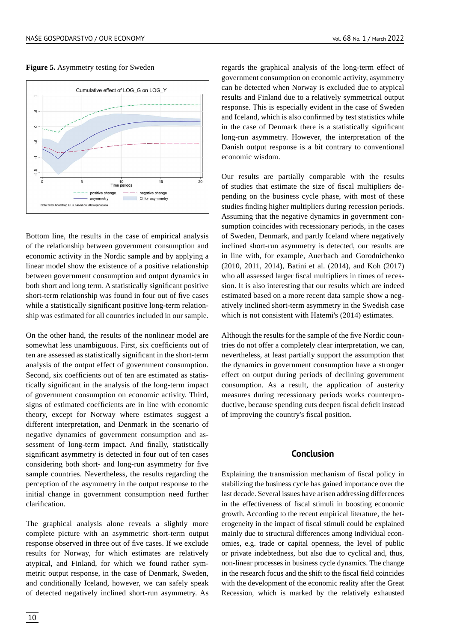#### **Figure 5.** Asymmetry testing for Sweden



Bottom line, the results in the case of empirical analysis of the relationship between government consumption and economic activity in the Nordic sample and by applying a linear model show the existence of a positive relationship between government consumption and output dynamics in both short and long term. A statistically significant positive short-term relationship was found in four out of five cases while a statistically significant positive long-term relationship was estimated for all countries included in our sample.

On the other hand, the results of the nonlinear model are somewhat less unambiguous. First, six coefficients out of ten are assessed as statistically significant in the short-term analysis of the output effect of government consumption. Second, six coefficients out of ten are estimated as statistically significant in the analysis of the long-term impact of government consumption on economic activity. Third, signs of estimated coefficients are in line with economic theory, except for Norway where estimates suggest a different interpretation, and Denmark in the scenario of negative dynamics of government consumption and assessment of long-term impact. And finally, statistically significant asymmetry is detected in four out of ten cases considering both short- and long-run asymmetry for five sample countries. Nevertheless, the results regarding the perception of the asymmetry in the output response to the initial change in government consumption need further clarification.

The graphical analysis alone reveals a slightly more complete picture with an asymmetric short-term output response observed in three out of five cases. If we exclude results for Norway, for which estimates are relatively atypical, and Finland, for which we found rather symmetric output response, in the case of Denmark, Sweden, and conditionally Iceland, however, we can safely speak of detected negatively inclined short-run asymmetry. As

regards the graphical analysis of the long-term effect of government consumption on economic activity, asymmetry can be detected when Norway is excluded due to atypical results and Finland due to a relatively symmetrical output response. This is especially evident in the case of Sweden and Iceland, which is also confirmed by test statistics while in the case of Denmark there is a statistically significant long-run asymmetry. However, the interpretation of the Danish output response is a bit contrary to conventional economic wisdom.

Our results are partially comparable with the results of studies that estimate the size of fiscal multipliers depending on the business cycle phase, with most of these studies finding higher multipliers during recession periods. Assuming that the negative dynamics in government consumption coincides with recessionary periods, in the cases of Sweden, Denmark, and partly Iceland where negatively inclined short-run asymmetry is detected, our results are in line with, for example, Auerbach and Gorodnichenko (2010, 2011, 2014), Batini et al. (2014), and Koh (2017) who all assessed larger fiscal multipliers in times of recession. It is also interesting that our results which are indeed estimated based on a more recent data sample show a negatively inclined short-term asymmetry in the Swedish case which is not consistent with Hatemi's (2014) estimates.

Although the results for the sample of the five Nordic countries do not offer a completely clear interpretation, we can, nevertheless, at least partially support the assumption that the dynamics in government consumption have a stronger effect on output during periods of declining government consumption. As a result, the application of austerity measures during recessionary periods works counterproductive, because spending cuts deepen fiscal deficit instead of improving the country's fiscal position.

#### **Conclusion**

Explaining the transmission mechanism of fiscal policy in stabilizing the business cycle has gained importance over the last decade. Several issues have arisen addressing differences in the effectiveness of fiscal stimuli in boosting economic growth. According to the recent empirical literature, the heterogeneity in the impact of fiscal stimuli could be explained mainly due to structural differences among individual economies, e.g. trade or capital openness, the level of public or private indebtedness, but also due to cyclical and, thus, non-linear processes in business cycle dynamics. The change in the research focus and the shift to the fiscal field coincides with the development of the economic reality after the Great Recession, which is marked by the relatively exhausted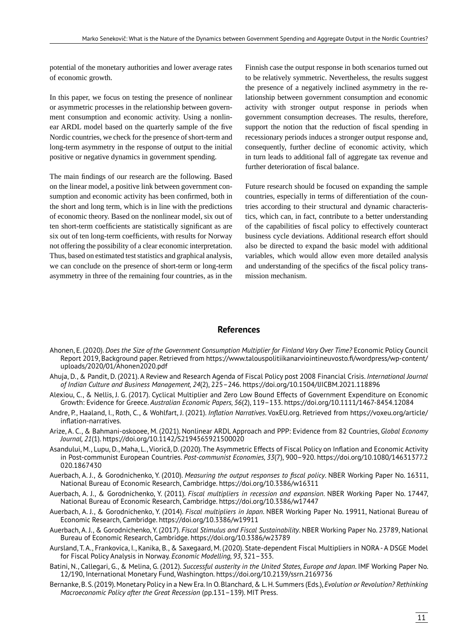potential of the monetary authorities and lower average rates of economic growth.

In this paper, we focus on testing the presence of nonlinear or asymmetric processes in the relationship between government consumption and economic activity. Using a nonlinear ARDL model based on the quarterly sample of the five Nordic countries, we check for the presence of short-term and long-term asymmetry in the response of output to the initial positive or negative dynamics in government spending.

The main findings of our research are the following. Based on the linear model, a positive link between government consumption and economic activity has been confirmed, both in the short and long term, which is in line with the predictions of economic theory. Based on the nonlinear model, six out of ten short-term coefficients are statistically significant as are six out of ten long-term coefficients, with results for Norway not offering the possibility of a clear economic interpretation. Thus, based on estimated test statistics and graphical analysis, we can conclude on the presence of short-term or long-term asymmetry in three of the remaining four countries, as in the

Finnish case the output response in both scenarios turned out to be relatively symmetric. Nevertheless, the results suggest the presence of a negatively inclined asymmetry in the relationship between government consumption and economic activity with stronger output response in periods when government consumption decreases. The results, therefore, support the notion that the reduction of fiscal spending in recessionary periods induces a stronger output response and, consequently, further decline of economic activity, which in turn leads to additional fall of aggregate tax revenue and further deterioration of fiscal balance.

Future research should be focused on expanding the sample countries, especially in terms of differentiation of the countries according to their structural and dynamic characteristics, which can, in fact, contribute to a better understanding of the capabilities of fiscal policy to effectively counteract business cycle deviations. Additional research effort should also be directed to expand the basic model with additional variables, which would allow even more detailed analysis and understanding of the specifics of the fiscal policy transmission mechanism.

### **References**

- Ahonen, E. (2020). *Does the Size of the Government Consumption Multiplier for Finland Vary Over Time?* Economic Policy Council Report 2019, Background paper. Retrieved from https://www.talouspolitiikanarviointineuvosto.fi/wordpress/wp-content/ uploads/2020/01/Ahonen2020.pdf
- Ahuja, D., & Pandit, D. (2021). A Review and Research Agenda of Fiscal Policy post 2008 Financial Crisis. *International Journal of Indian Culture and Business Management, 24*(2), 225–246. https://doi.org/10.1504/IJICBM.2021.118896
- Alexiou, C., & Nellis, J. G. (2017). Cyclical Multiplier and Zero Low Bound Effects of Government Expenditure on Economic Growth: Evidence for Greece. *Australian Economic Papers, 56*(2), 119–133. https://doi.org/10.1111/1467-8454.12084
- Andre, P., Haaland, I., Roth, C., & Wohlfart, J. (2021). *Inflation Narratives*. VoxEU.org. Retrieved from https://voxeu.org/article/ inflation-narratives.
- Arize, A. C., & Bahmani-oskooee, M. (2021). Nonlinear ARDL Approach and PPP: Evidence from 82 Countries, *Global Economy Journal, 21*(1). https://doi.org/10.1142/S2194565921500020
- Asandului, M., Lupu, D., Maha, L., Viorică, D. (2020). The Asymmetric Effects of Fiscal Policy on Inflation and Economic Activity in Post-communist European Countries. *Post-communist Economies, 33*(7), 900–920. https://doi.org/10.1080/14631377.2 020.1867430
- Auerbach, A. J., & Gorodnichenko, Y. (2010). *Measuring the output responses to fiscal policy*. NBER Working Paper No. 16311, National Bureau of Economic Research, Cambridge. https://doi.org/10.3386/w16311
- Auerbach, A. J., & Gorodnichenko, Y. (2011). *Fiscal multipliers in recession and expansion*. NBER Working Paper No. 17447, National Bureau of Economic Research, Cambridge. https://doi.org/10.3386/w17447
- Auerbach, A. J., & Gorodnichenko, Y. (2014). *Fiscal multipliers in Japan*. NBER Working Paper No. 19911, National Bureau of Economic Research, Cambridge. https://doi.org/10.3386/w19911
- Auerbach, A. J., & Gorodnichenko, Y. (2017). *Fiscal Stimulus and Fiscal Sustainability*. NBER Working Paper No. 23789, National Bureau of Economic Research, Cambridge. https://doi.org/10.3386/w23789
- Aursland, T. A., Frankovica, I., Kanika, B., & Saxegaard, M. (2020). State-dependent Fiscal Multipliers in NORA A DSGE Model for Fiscal Policy Analysis in Norway. *Economic Modelling, 93*, 321–353.
- Batini, N., Callegari, G., & Melina, G. (2012). *Successful austerity in the United States, Europe and Japan*. IMF Working Paper No. 12/190, International Monetary Fund, Washington. https://doi.org/10.2139/ssrn.2169736
- Bernanke, B. S. (2019). Monetary Policy in a New Era. In O. Blanchard, & L. H. Summers (Eds.), *Evolution or Revolution? Rethinking Macroeconomic Policy after the Great Recession* (pp.131–139). MIT Press.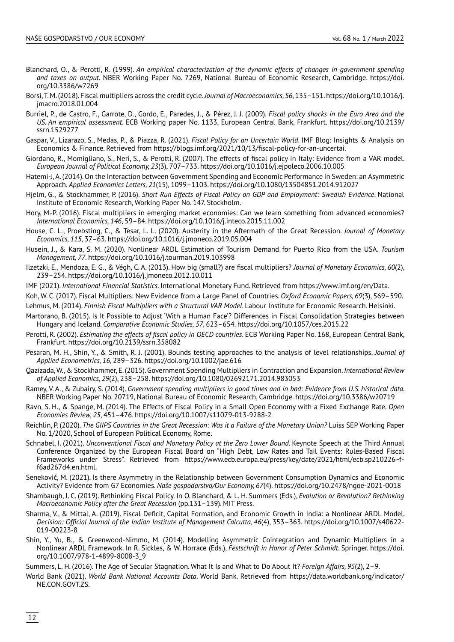- Blanchard, O., & Perotti, R. (1999). *An empirical characterization of the dynamic effects of changes in government spending and taxes on output*. NBER Working Paper No. 7269, National Bureau of Economic Research, Cambridge. https://doi. org/10.3386/w7269
- Borsi, T. M. (2018). Fiscal multipliers across the credit cycle. *Journal of Macroeconomics, 56*, 135–151. https://doi.org/10.1016/j. jmacro.2018.01.004
- Burriel, P., de Castro, F., Garrote, D., Gordo, E., Paredes, J., & Pérez, J. J. (2009). *Fiscal policy shocks in the Euro Area and the US. An empirical assessment*. ECB Working paper No. 1133, European Central Bank, Frankfurt. https://doi.org/10.2139/ ssrn.1529277
- Gaspar, V., Lizarazo, S., Medas, P., & Piazza, R. (2021). *Fiscal Policy for an Uncertain World*. IMF Blog: Insights & Analysis on Economics & Finance. Retrieved from https://blogs.imf.org/2021/10/13/fiscal-policy-for-an-uncertai.
- Giordano, R., Momigliano, S., Neri, S., & Perotti, R. (2007). The effects of fiscal policy in Italy: Evidence from a VAR model. *European Journal of Political Economy, 23*(3), 707–733. https://doi.org/10.1016/j.ejpoleco.2006.10.005
- Hatemi-J, A. (2014). On the Interaction between Government Spending and Economic Performance in Sweden: an Asymmetric Approach. *Applied Economics Letters, 21*(15), 1099–1103. https://doi.org/10.1080/13504851.2014.912027
- Hjelm, G., & Stockhammer, P. (2016). *Short Run Effects of Fiscal Policy on GDP and Employment: Swedish Evidence*. National Institute of Economic Research, Working Paper No. 147. Stockholm.
- Hory, M.-P. (2016). Fiscal multipliers in emerging market economies: Can we learn something from advanced economies? *International Economics, 146*, 59–84. https://doi.org/10.1016/j.inteco.2015.11.002
- House, C. L., Proebsting, C., & Tesar, L. L. (2020). Austerity in the Aftermath of the Great Recession. *Journal of Monetary Economics, 115*, 37–63. https://doi.org/10.1016/j.jmoneco.2019.05.004
- Husein, J., & Kara, S. M. (2020). Nonlinear ARDL Estimation of Tourism Demand for Puerto Rico from the USA. *Tourism Management, 77*. https://doi.org/10.1016/j.tourman.2019.103998
- Ilzetzki, E., Mendoza, E. G., & Végh, C. A. (2013). How big (small?) are fiscal multipliers? *Journal of Monetary Economics, 60*(2), 239–254. https://doi.org/10.1016/j.jmoneco.2012.10.011
- IMF (2021). *International Financial Statistics*. International Monetary Fund. Retrieved from https://www.imf.org/en/Data.

Koh, W. C. (2017). Fiscal Multipliers: New Evidence from a Large Panel of Countries. *Oxford Economic Papers, 69*(3), 569–590.

- Lehmus, M. (2014). *Finnish Fiscal Multipliers with a Structural VAR Model*. Labour Institute for Economic Research. Helsinki.
- Martorano, B. (2015). Is It Possible to Adjust 'With a Human Face'? Differences in Fiscal Consolidation Strategies between Hungary and Iceland. *Comparative Economic Studies, 57*, 623–654. https://doi.org/10.1057/ces.2015.22
- Perotti, R. (2002). *Estimating the effects of fiscal policy in OECD countries*. ECB Working Paper No. 168, European Central Bank, Frankfurt. https://doi.org/10.2139/ssrn.358082
- Pesaran, M. H., Shin, Y., & Smith, R. J. (2001). Bounds testing approaches to the analysis of level relationships. *Journal of Applied Econometrics, 16*, 289–326. https://doi.org/10.1002/jae.616
- Qazizada, W., & Stockhammer, E. (2015). Government Spending Multipliers in Contraction and Expansion. *International Review of Applied Economics, 29*(2), 238–258. https://doi.org/10.1080/02692171.2014.983053
- Ramey, V. A., & Zubairy, S. (2014). *Government spending multipliers in good times and in bad: Evidence from U.S. historical data*. NBER Working Paper No. 20719, National Bureau of Economic Research, Cambridge. https://doi.org/10.3386/w20719
- Ravn, S. H., & Spange, M. (2014). The Effects of Fiscal Policy in a Small Open Economy with a Fixed Exchange Rate. *Open Economies Review, 25*, 451–476. https://doi.org/10.1007/s11079-013-9288-2
- Reichlin, P. (2020). *The GIIPS Countries in the Great Recession: Was it a Failure of the Monetary Union?* Luiss SEP Working Paper No. 1/2020, School of European Political Economy, Rome.
- Schnabel, I. (2021). *Unconventional Fiscal and Monetary Policy at the Zero Lower Bound*. Keynote Speech at the Third Annual Conference Organized by the European Fiscal Board on "High Debt, Low Rates and Tail Events: Rules-Based Fiscal Frameworks under Stress". Retrieved from https://www.ecb.europa.eu/press/key/date/2021/html/ecb.sp210226~ff6ad267d4.en.html.
- Senekovič, M. (2021). Is there Asymmetry in the Relationship between Government Consumption Dynamics and Economic Activity? Evidence from G7 Economies. *Naše gospodarstvo/Our Economy, 67*(4). https://doi.org/10.2478/ngoe-2021-0018
- Shambaugh, J. C. (2019). Rethinking Fiscal Policy. In O. Blanchard, & L. H. Summers (Eds.), *Evolution or Revolution? Rethinking Macroeconomic Policy after the Great Recession* (pp.131–139). MIT Press.
- Sharma, V., & Mittal, A. (2019). Fiscal Deficit, Capital Formation, and Economic Growth in India: a Nonlinear ARDL Model. *Decision: Official Journal of the Indian Institute of Management Calcutta, 46*(4), 353–363. https://doi.org/10.1007/s40622- 019-00223-8
- Shin, Y., Yu, B., & Greenwood-Nimmo, M. (2014). Modelling Asymmetric Cointegration and Dynamic Multipliers in a Nonlinear ARDL Framework. In R. Sickles, & W. Horrace (Eds.), *Festschrift in Honor of Peter Schmidt*. Springer. https://doi. org/10.1007/978-1-4899-8008-3\_9
- Summers, L. H. (2016). The Age of Secular Stagnation. What It Is and What to Do About It? *Foreign Affairs, 95*(2), 2–9.
- World Bank (2021). *World Bank National Accounts Data*. World Bank. Retrieved from https://data.worldbank.org/indicator/ NE.CON.GOVT.ZS.